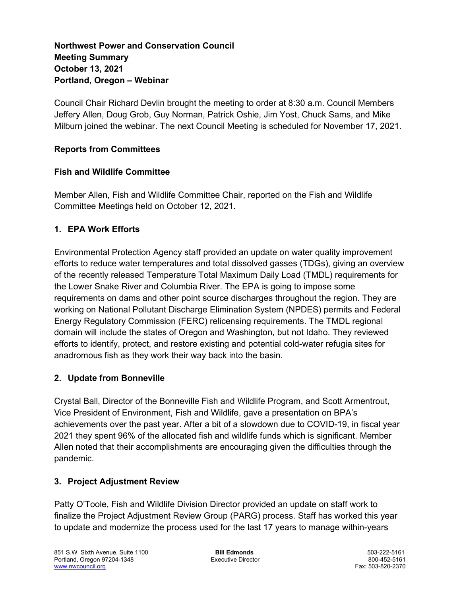# Northwest Power and Conservation Council Meeting Summary October 13, 2021 Portland, Oregon – Webinar

Council Chair Richard Devlin brought the meeting to order at 8:30 a.m. Council Members Jeffery Allen, Doug Grob, Guy Norman, Patrick Oshie, Jim Yost, Chuck Sams, and Mike Milburn joined the webinar. The next Council Meeting is scheduled for November 17, 2021.

### Reports from Committees

### Fish and Wildlife Committee

Member Allen, Fish and Wildlife Committee Chair, reported on the Fish and Wildlife Committee Meetings held on October 12, 2021.

### 1. EPA Work Efforts

Environmental Protection Agency staff provided an update on water quality improvement efforts to reduce water temperatures and total dissolved gasses (TDGs), giving an overview of the recently released Temperature Total Maximum Daily Load (TMDL) requirements for the Lower Snake River and Columbia River. The EPA is going to impose some requirements on dams and other point source discharges throughout the region. They are working on National Pollutant Discharge Elimination System (NPDES) permits and Federal Energy Regulatory Commission (FERC) relicensing requirements. The TMDL regional domain will include the states of Oregon and Washington, but not Idaho. They reviewed efforts to identify, protect, and restore existing and potential cold-water refugia sites for anadromous fish as they work their way back into the basin.

# 2. Update from Bonneville

Crystal Ball, Director of the Bonneville Fish and Wildlife Program, and Scott Armentrout, Vice President of Environment, Fish and Wildlife, gave a presentation on BPA's achievements over the past year. After a bit of a slowdown due to COVID-19, in fiscal year 2021 they spent 96% of the allocated fish and wildlife funds which is significant. Member Allen noted that their accomplishments are encouraging given the difficulties through the pandemic.

#### 3. Project Adjustment Review

Patty O'Toole, Fish and Wildlife Division Director provided an update on staff work to finalize the Project Adjustment Review Group (PARG) process. Staff has worked this year to update and modernize the process used for the last 17 years to manage within-years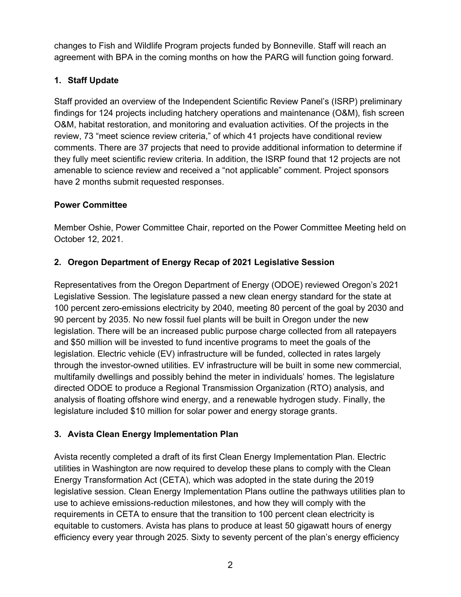changes to Fish and Wildlife Program projects funded by Bonneville. Staff will reach an agreement with BPA in the coming months on how the PARG will function going forward.

# 1. Staff Update

Staff provided an overview of the Independent Scientific Review Panel's (ISRP) preliminary findings for 124 projects including hatchery operations and maintenance (O&M), fish screen O&M, habitat restoration, and monitoring and evaluation activities. Of the projects in the review, 73 "meet science review criteria," of which 41 projects have conditional review comments. There are 37 projects that need to provide additional information to determine if they fully meet scientific review criteria. In addition, the ISRP found that 12 projects are not amenable to science review and received a "not applicable" comment. Project sponsors have 2 months submit requested responses.

# Power Committee

Member Oshie, Power Committee Chair, reported on the Power Committee Meeting held on October 12, 2021.

# 2. Oregon Department of Energy Recap of 2021 Legislative Session

Representatives from the Oregon Department of Energy (ODOE) reviewed Oregon's 2021 Legislative Session. The legislature passed a new clean energy standard for the state at 100 percent zero-emissions electricity by 2040, meeting 80 percent of the goal by 2030 and 90 percent by 2035. No new fossil fuel plants will be built in Oregon under the new legislation. There will be an increased public purpose charge collected from all ratepayers and \$50 million will be invested to fund incentive programs to meet the goals of the legislation. Electric vehicle (EV) infrastructure will be funded, collected in rates largely through the investor-owned utilities. EV infrastructure will be built in some new commercial, multifamily dwellings and possibly behind the meter in individuals' homes. The legislature directed ODOE to produce a Regional Transmission Organization (RTO) analysis, and analysis of floating offshore wind energy, and a renewable hydrogen study. Finally, the legislature included \$10 million for solar power and energy storage grants.

# 3. Avista Clean Energy Implementation Plan

Avista recently completed a draft of its first Clean Energy Implementation Plan. Electric utilities in Washington are now required to develop these plans to comply with the Clean Energy Transformation Act (CETA), which was adopted in the state during the 2019 legislative session. Clean Energy Implementation Plans outline the pathways utilities plan to use to achieve emissions-reduction milestones, and how they will comply with the requirements in CETA to ensure that the transition to 100 percent clean electricity is equitable to customers. Avista has plans to produce at least 50 gigawatt hours of energy efficiency every year through 2025. Sixty to seventy percent of the plan's energy efficiency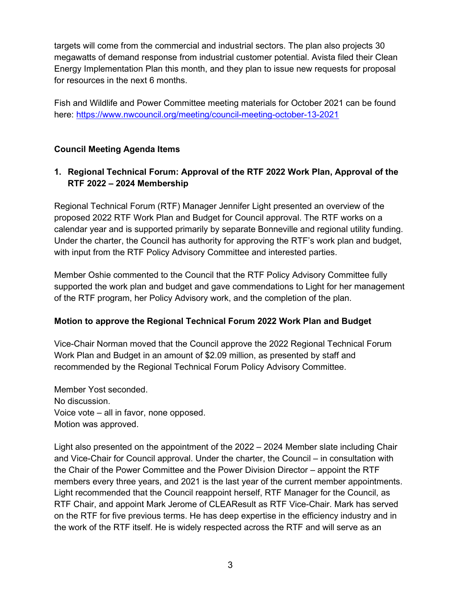targets will come from the commercial and industrial sectors. The plan also projects 30 megawatts of demand response from industrial customer potential. Avista filed their Clean Energy Implementation Plan this month, and they plan to issue new requests for proposal for resources in the next 6 months.

Fish and Wildlife and Power Committee meeting materials for October 2021 can be found here: https://www.nwcouncil.org/meeting/council-meeting-october-13-2021

# Council Meeting Agenda Items

# 1. Regional Technical Forum: Approval of the RTF 2022 Work Plan, Approval of the RTF 2022 – 2024 Membership

Regional Technical Forum (RTF) Manager Jennifer Light presented an overview of the proposed 2022 RTF Work Plan and Budget for Council approval. The RTF works on a calendar year and is supported primarily by separate Bonneville and regional utility funding. Under the charter, the Council has authority for approving the RTF's work plan and budget, with input from the RTF Policy Advisory Committee and interested parties.

Member Oshie commented to the Council that the RTF Policy Advisory Committee fully supported the work plan and budget and gave commendations to Light for her management of the RTF program, her Policy Advisory work, and the completion of the plan.

# Motion to approve the Regional Technical Forum 2022 Work Plan and Budget

Vice-Chair Norman moved that the Council approve the 2022 Regional Technical Forum Work Plan and Budget in an amount of \$2.09 million, as presented by staff and recommended by the Regional Technical Forum Policy Advisory Committee.

Member Yost seconded. No discussion. Voice vote – all in favor, none opposed. Motion was approved.

Light also presented on the appointment of the 2022 – 2024 Member slate including Chair and Vice-Chair for Council approval. Under the charter, the Council – in consultation with the Chair of the Power Committee and the Power Division Director – appoint the RTF members every three years, and 2021 is the last year of the current member appointments. Light recommended that the Council reappoint herself, RTF Manager for the Council, as RTF Chair, and appoint Mark Jerome of CLEAResult as RTF Vice-Chair. Mark has served on the RTF for five previous terms. He has deep expertise in the efficiency industry and in the work of the RTF itself. He is widely respected across the RTF and will serve as an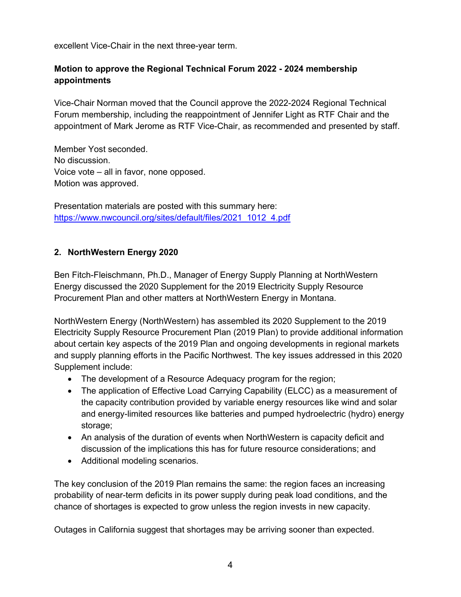excellent Vice-Chair in the next three-year term.

# Motion to approve the Regional Technical Forum 2022 - 2024 membership appointments

Vice-Chair Norman moved that the Council approve the 2022-2024 Regional Technical Forum membership, including the reappointment of Jennifer Light as RTF Chair and the appointment of Mark Jerome as RTF Vice-Chair, as recommended and presented by staff.

Member Yost seconded. No discussion. Voice vote – all in favor, none opposed. Motion was approved.

Presentation materials are posted with this summary here: https://www.nwcouncil.org/sites/default/files/2021\_1012\_4.pdf

### 2. NorthWestern Energy 2020

Ben Fitch-Fleischmann, Ph.D., Manager of Energy Supply Planning at NorthWestern Energy discussed the 2020 Supplement for the 2019 Electricity Supply Resource Procurement Plan and other matters at NorthWestern Energy in Montana.

NorthWestern Energy (NorthWestern) has assembled its 2020 Supplement to the 2019 Electricity Supply Resource Procurement Plan (2019 Plan) to provide additional information about certain key aspects of the 2019 Plan and ongoing developments in regional markets and supply planning efforts in the Pacific Northwest. The key issues addressed in this 2020 Supplement include:

- The development of a Resource Adequacy program for the region;
- The application of Effective Load Carrying Capability (ELCC) as a measurement of the capacity contribution provided by variable energy resources like wind and solar and energy-limited resources like batteries and pumped hydroelectric (hydro) energy storage;
- An analysis of the duration of events when NorthWestern is capacity deficit and discussion of the implications this has for future resource considerations; and
- Additional modeling scenarios.

The key conclusion of the 2019 Plan remains the same: the region faces an increasing probability of near-term deficits in its power supply during peak load conditions, and the chance of shortages is expected to grow unless the region invests in new capacity.

Outages in California suggest that shortages may be arriving sooner than expected.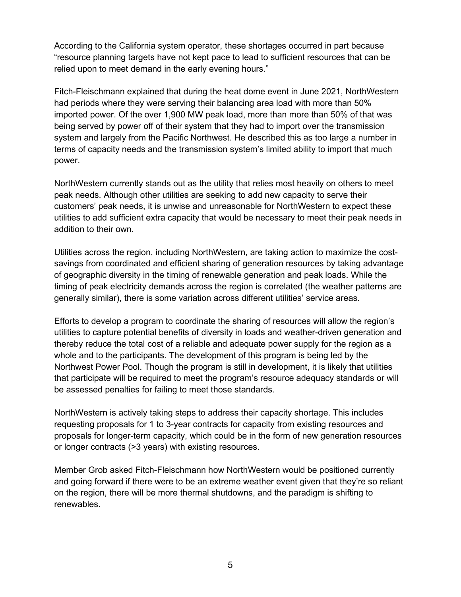According to the California system operator, these shortages occurred in part because "resource planning targets have not kept pace to lead to sufficient resources that can be relied upon to meet demand in the early evening hours."

Fitch-Fleischmann explained that during the heat dome event in June 2021, NorthWestern had periods where they were serving their balancing area load with more than 50% imported power. Of the over 1,900 MW peak load, more than more than 50% of that was being served by power off of their system that they had to import over the transmission system and largely from the Pacific Northwest. He described this as too large a number in terms of capacity needs and the transmission system's limited ability to import that much power.

NorthWestern currently stands out as the utility that relies most heavily on others to meet peak needs. Although other utilities are seeking to add new capacity to serve their customers' peak needs, it is unwise and unreasonable for NorthWestern to expect these utilities to add sufficient extra capacity that would be necessary to meet their peak needs in addition to their own.

Utilities across the region, including NorthWestern, are taking action to maximize the costsavings from coordinated and efficient sharing of generation resources by taking advantage of geographic diversity in the timing of renewable generation and peak loads. While the timing of peak electricity demands across the region is correlated (the weather patterns are generally similar), there is some variation across different utilities' service areas.

Efforts to develop a program to coordinate the sharing of resources will allow the region's utilities to capture potential benefits of diversity in loads and weather-driven generation and thereby reduce the total cost of a reliable and adequate power supply for the region as a whole and to the participants. The development of this program is being led by the Northwest Power Pool. Though the program is still in development, it is likely that utilities that participate will be required to meet the program's resource adequacy standards or will be assessed penalties for failing to meet those standards.

NorthWestern is actively taking steps to address their capacity shortage. This includes requesting proposals for 1 to 3-year contracts for capacity from existing resources and proposals for longer-term capacity, which could be in the form of new generation resources or longer contracts (>3 years) with existing resources.

Member Grob asked Fitch-Fleischmann how NorthWestern would be positioned currently and going forward if there were to be an extreme weather event given that they're so reliant on the region, there will be more thermal shutdowns, and the paradigm is shifting to renewables.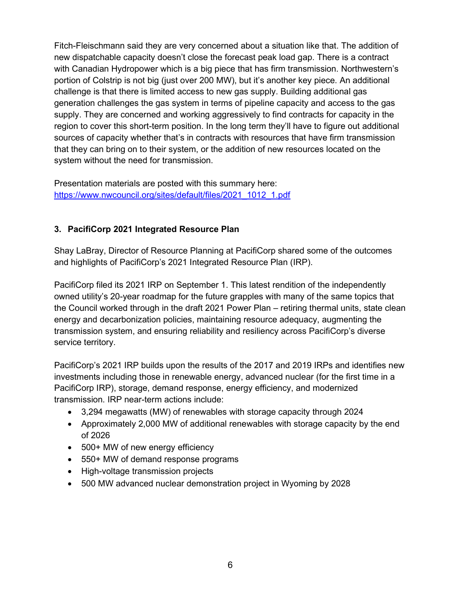Fitch-Fleischmann said they are very concerned about a situation like that. The addition of new dispatchable capacity doesn't close the forecast peak load gap. There is a contract with Canadian Hydropower which is a big piece that has firm transmission. Northwestern's portion of Colstrip is not big (just over 200 MW), but it's another key piece. An additional challenge is that there is limited access to new gas supply. Building additional gas generation challenges the gas system in terms of pipeline capacity and access to the gas supply. They are concerned and working aggressively to find contracts for capacity in the region to cover this short-term position. In the long term they'll have to figure out additional sources of capacity whether that's in contracts with resources that have firm transmission that they can bring on to their system, or the addition of new resources located on the system without the need for transmission.

Presentation materials are posted with this summary here: https://www.nwcouncil.org/sites/default/files/2021\_1012\_1.pdf

# 3. PacifiCorp 2021 Integrated Resource Plan

Shay LaBray, Director of Resource Planning at PacifiCorp shared some of the outcomes and highlights of PacifiCorp's 2021 Integrated Resource Plan (IRP).

PacifiCorp filed its 2021 IRP on September 1. This latest rendition of the independently owned utility's 20-year roadmap for the future grapples with many of the same topics that the Council worked through in the draft 2021 Power Plan – retiring thermal units, state clean energy and decarbonization policies, maintaining resource adequacy, augmenting the transmission system, and ensuring reliability and resiliency across PacifiCorp's diverse service territory.

PacifiCorp's 2021 IRP builds upon the results of the 2017 and 2019 IRPs and identifies new investments including those in renewable energy, advanced nuclear (for the first time in a PacifiCorp IRP), storage, demand response, energy efficiency, and modernized transmission. IRP near-term actions include:

- 3,294 megawatts (MW) of renewables with storage capacity through 2024
- Approximately 2,000 MW of additional renewables with storage capacity by the end of 2026
- 500+ MW of new energy efficiency
- 550+ MW of demand response programs
- High-voltage transmission projects
- 500 MW advanced nuclear demonstration project in Wyoming by 2028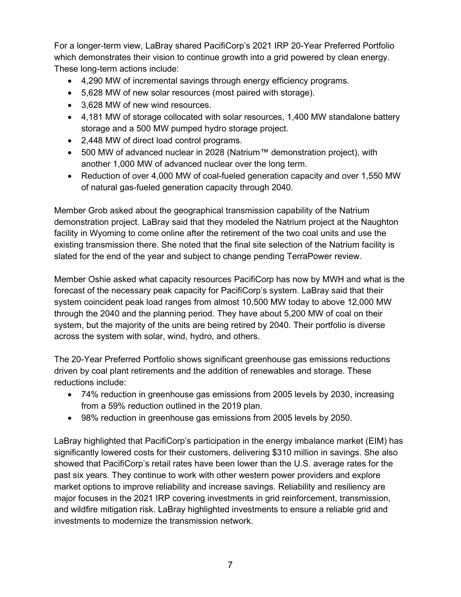For a longer-term view, LaBray shared PacifiCorp's 2021 IRP 20-Year Preferred Portfolio which demonstrates their vision to continue growth into a grid powered by clean energy. These long-term actions include:

- 4,290 MW of incremental savings through energy efficiency programs.
- 5,628 MW of new solar resources (most paired with storage).
- 3,628 MW of new wind resources.
- 4,181 MW of storage collocated with solar resources, 1,400 MW standalone battery storage and a 500 MW pumped hydro storage project.
- 2,448 MW of direct load control programs.
- 500 MW of advanced nuclear in 2028 (Natrium™ demonstration project), with another 1,000 MW of advanced nuclear over the long term.
- Reduction of over 4,000 MW of coal-fueled generation capacity and over 1,550 MW of natural gas-fueled generation capacity through 2040.

Member Grob asked about the geographical transmission capability of the Natrium demonstration project. LaBray said that they modeled the Natrium project at the Naughton facility in Wyoming to come online after the retirement of the two coal units and use the existing transmission there. She noted that the final site selection of the Natrium facility is slated for the end of the year and subject to change pending TerraPower review.

Member Oshie asked what capacity resources PacifiCorp has now by MWH and what is the forecast of the necessary peak capacity for PacifiCorp's system. LaBray said that their system coincident peak load ranges from almost 10,500 MW today to above 12,000 MW through the 2040 and the planning period. They have about 5,200 MW of coal on their system, but the majority of the units are being retired by 2040. Their portfolio is diverse across the system with solar, wind, hydro, and others.

The 20-Year Preferred Portfolio shows significant greenhouse gas emissions reductions driven by coal plant retirements and the addition of renewables and storage. These reductions include:

- 74% reduction in greenhouse gas emissions from 2005 levels by 2030, increasing from a 59% reduction outlined in the 2019 plan.
- 98% reduction in greenhouse gas emissions from 2005 levels by 2050.

LaBray highlighted that PacifiCorp's participation in the energy imbalance market (EIM) has significantly lowered costs for their customers, delivering \$310 million in savings. She also showed that PacifiCorp's retail rates have been lower than the U.S. average rates for the past six years. They continue to work with other western power providers and explore market options to improve reliability and increase savings. Reliability and resiliency are major focuses in the 2021 IRP covering investments in grid reinforcement, transmission, and wildfire mitigation risk. LaBray highlighted investments to ensure a reliable grid and investments to modernize the transmission network.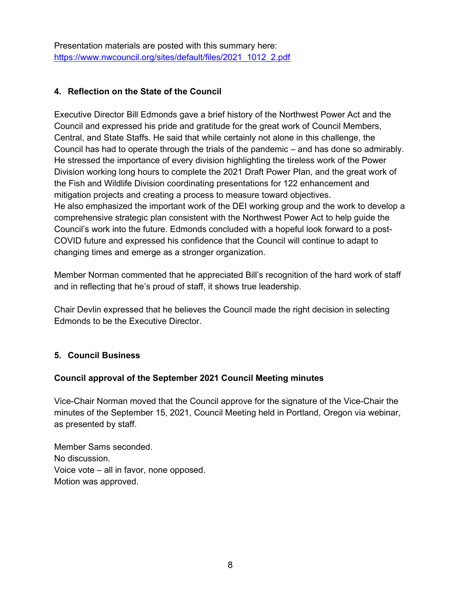Presentation materials are posted with this summary here: https://www.nwcouncil.org/sites/default/files/2021\_1012\_2.pdf

# 4. Reflection on the State of the Council

Executive Director Bill Edmonds gave a brief history of the Northwest Power Act and the Council and expressed his pride and gratitude for the great work of Council Members, Central, and State Staffs. He said that while certainly not alone in this challenge, the Council has had to operate through the trials of the pandemic – and has done so admirably. He stressed the importance of every division highlighting the tireless work of the Power Division working long hours to complete the 2021 Draft Power Plan, and the great work of the Fish and Wildlife Division coordinating presentations for 122 enhancement and mitigation projects and creating a process to measure toward objectives. He also emphasized the important work of the DEI working group and the work to develop a comprehensive strategic plan consistent with the Northwest Power Act to help guide the Council's work into the future. Edmonds concluded with a hopeful look forward to a post-COVID future and expressed his confidence that the Council will continue to adapt to changing times and emerge as a stronger organization.

Member Norman commented that he appreciated Bill's recognition of the hard work of staff and in reflecting that he's proud of staff, it shows true leadership.

Chair Devlin expressed that he believes the Council made the right decision in selecting Edmonds to be the Executive Director.

# 5. Council Business

#### Council approval of the September 2021 Council Meeting minutes

Vice-Chair Norman moved that the Council approve for the signature of the Vice-Chair the minutes of the September 15, 2021, Council Meeting held in Portland, Oregon via webinar, as presented by staff.

Member Sams seconded. No discussion. Voice vote – all in favor, none opposed. Motion was approved.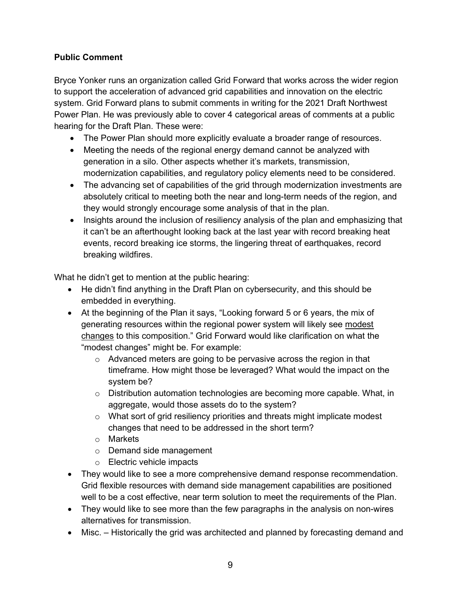# Public Comment

Bryce Yonker runs an organization called Grid Forward that works across the wider region to support the acceleration of advanced grid capabilities and innovation on the electric system. Grid Forward plans to submit comments in writing for the 2021 Draft Northwest Power Plan. He was previously able to cover 4 categorical areas of comments at a public hearing for the Draft Plan. These were:

- The Power Plan should more explicitly evaluate a broader range of resources.
- Meeting the needs of the regional energy demand cannot be analyzed with generation in a silo. Other aspects whether it's markets, transmission, modernization capabilities, and regulatory policy elements need to be considered.
- The advancing set of capabilities of the grid through modernization investments are absolutely critical to meeting both the near and long-term needs of the region, and they would strongly encourage some analysis of that in the plan.
- Insights around the inclusion of resiliency analysis of the plan and emphasizing that it can't be an afterthought looking back at the last year with record breaking heat events, record breaking ice storms, the lingering threat of earthquakes, record breaking wildfires.

What he didn't get to mention at the public hearing:

- He didn't find anything in the Draft Plan on cybersecurity, and this should be embedded in everything.
- At the beginning of the Plan it says, "Looking forward 5 or 6 years, the mix of generating resources within the regional power system will likely see modest changes to this composition." Grid Forward would like clarification on what the "modest changes" might be. For example:
	- $\circ$  Advanced meters are going to be pervasive across the region in that timeframe. How might those be leveraged? What would the impact on the system be?
	- o Distribution automation technologies are becoming more capable. What, in aggregate, would those assets do to the system?
	- o What sort of grid resiliency priorities and threats might implicate modest changes that need to be addressed in the short term?
	- o Markets
	- o Demand side management
	- o Electric vehicle impacts
- They would like to see a more comprehensive demand response recommendation. Grid flexible resources with demand side management capabilities are positioned well to be a cost effective, near term solution to meet the requirements of the Plan.
- They would like to see more than the few paragraphs in the analysis on non-wires alternatives for transmission.
- Misc. Historically the grid was architected and planned by forecasting demand and